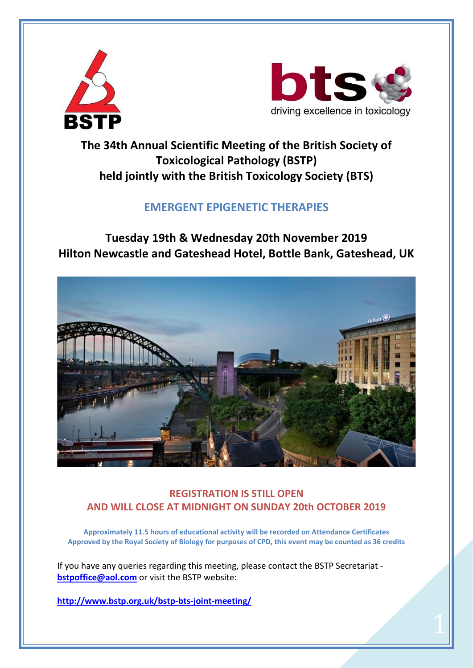



 $\overline{1}$ 

### **The 34th Annual Scientific Meeting of the British Society of Toxicological Pathology (BSTP) held jointly with the British Toxicology Society (BTS)**

### **EMERGENT EPIGENETIC THERAPIES**

**Tuesday 19th & Wednesday 20th November 2019 Hilton Newcastle and Gateshead Hotel, Bottle Bank, Gateshead, UK**



### **REGISTRATION IS STILL OPEN AND WILL CLOSE AT MIDNIGHT ON SUNDAY 20th OCTOBER 2019**

**Approximately 11.5 hours of educational activity will be recorded on Attendance Certificates Approved by the Royal Society of Biology for purposes of CPD, this event may be counted as 36 credits**

If you have any queries regarding this meeting, please contact the BSTP Secretariat **[bstpoffice@aol.com](mailto:bstpoffice@aol.com)** or visit the BSTP website:

**<http://www.bstp.org.uk/bstp-bts-joint-meeting/>**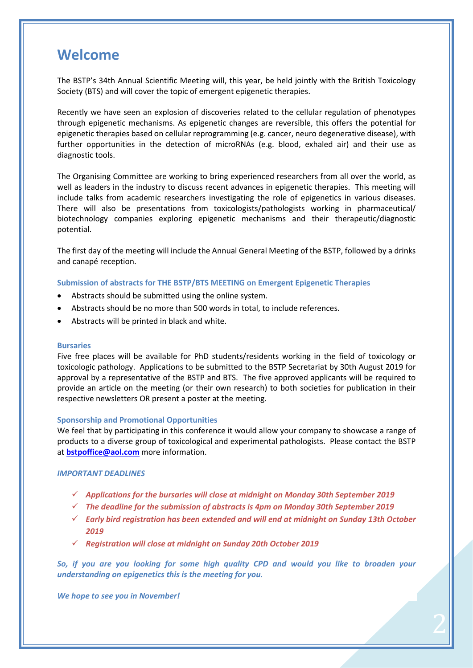### **Welcome**

The BSTP's 34th Annual Scientific Meeting will, this year, be held jointly with the British Toxicology Society (BTS) and will cover the topic of emergent epigenetic therapies.

Recently we have seen an explosion of discoveries related to the cellular regulation of phenotypes through epigenetic mechanisms. As epigenetic changes are reversible, this offers the potential for epigenetic therapies based on cellular reprogramming (e.g. cancer, neuro degenerative disease), with further opportunities in the detection of microRNAs (e.g. blood, exhaled air) and their use as diagnostic tools.

The Organising Committee are working to bring experienced researchers from all over the world, as well as leaders in the industry to discuss recent advances in epigenetic therapies. This meeting will include talks from academic researchers investigating the role of epigenetics in various diseases. There will also be presentations from toxicologists/pathologists working in pharmaceutical/ biotechnology companies exploring epigenetic mechanisms and their therapeutic/diagnostic potential.

The first day of the meeting will include the Annual General Meeting of the BSTP, followed by a drinks and canapé reception.

#### **Submission of abstracts for THE BSTP/BTS MEETING on Emergent Epigenetic Therapies**

- Abstracts should be submitted using the online system.
- Abstracts should be no more than 500 words in total, to include references.
- Abstracts will be printed in black and white.

#### **Bursaries**

Five free places will be available for PhD students/residents working in the field of toxicology or toxicologic pathology. Applications to be submitted to the BSTP Secretariat by 30th August 2019 for approval by a representative of the BSTP and BTS. The five approved applicants will be required to provide an article on the meeting (or their own research) to both societies for publication in their respective newsletters OR present a poster at the meeting.

#### **Sponsorship and Promotional Opportunities**

We feel that by participating in this conference it would allow your company to showcase a range of products to a diverse group of toxicological and experimental pathologists. Please contact the BSTP at **[bstpoffice@aol.com](mailto:bstpoffice@aol.com)** more information.

#### *IMPORTANT DEADLINES*

- *Applications for the bursaries will close at midnight on Monday 30th September 2019*
- *The deadline for the submission of abstracts is 4pm on Monday 30th September 2019*
- *Early bird registration has been extended and will end at midnight on Sunday 13th October 2019*
- *Registration will close at midnight on Sunday 20th October 2019*

*So, if you are you looking for some high quality CPD and would you like to broaden your understanding on epigenetics this is the meeting for you.*

2

*We hope to see you in November!*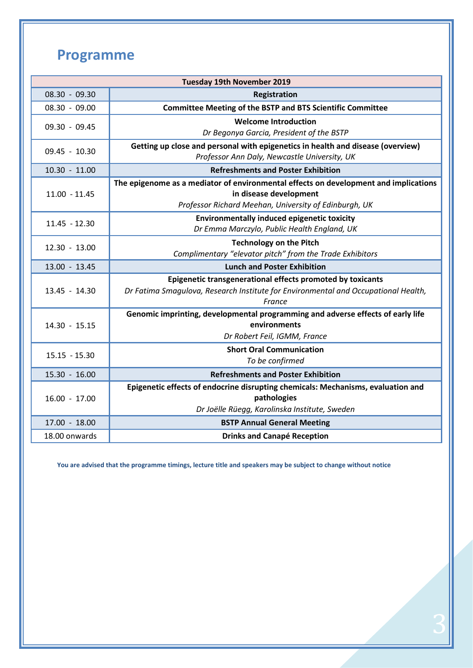# **Programme**

| <b>Tuesday 19th November 2019</b> |                                                                                                                |  |  |  |
|-----------------------------------|----------------------------------------------------------------------------------------------------------------|--|--|--|
| $08.30 - 09.30$                   | Registration                                                                                                   |  |  |  |
| $08.30 - 09.00$                   | <b>Committee Meeting of the BSTP and BTS Scientific Committee</b>                                              |  |  |  |
| $09.30 - 09.45$                   | <b>Welcome Introduction</b>                                                                                    |  |  |  |
|                                   | Dr Begonya Garcia, President of the BSTP                                                                       |  |  |  |
| 09.45 - 10.30                     | Getting up close and personal with epigenetics in health and disease (overview)                                |  |  |  |
|                                   | Professor Ann Daly, Newcastle University, UK                                                                   |  |  |  |
| $10.30 - 11.00$                   | <b>Refreshments and Poster Exhibition</b>                                                                      |  |  |  |
| $11.00 - 11.45$                   | The epigenome as a mediator of environmental effects on development and implications<br>in disease development |  |  |  |
|                                   | Professor Richard Meehan, University of Edinburgh, UK                                                          |  |  |  |
| $11.45 - 12.30$                   | <b>Environmentally induced epigenetic toxicity</b>                                                             |  |  |  |
|                                   | Dr Emma Marczylo, Public Health England, UK                                                                    |  |  |  |
| 12.30 - 13.00                     | <b>Technology on the Pitch</b>                                                                                 |  |  |  |
|                                   | Complimentary "elevator pitch" from the Trade Exhibitors                                                       |  |  |  |
| 13.00 - 13.45                     | <b>Lunch and Poster Exhibition</b>                                                                             |  |  |  |
|                                   | Epigenetic transgenerational effects promoted by toxicants                                                     |  |  |  |
| $13.45 - 14.30$                   | Dr Fatima Smagulova, Research Institute for Environmental and Occupational Health,<br>France                   |  |  |  |
| 14.30 - 15.15                     | Genomic imprinting, developmental programming and adverse effects of early life                                |  |  |  |
|                                   | environments                                                                                                   |  |  |  |
|                                   | Dr Robert Feil, IGMM, France                                                                                   |  |  |  |
| $15.15 - 15.30$                   | <b>Short Oral Communication</b>                                                                                |  |  |  |
|                                   | To be confirmed                                                                                                |  |  |  |
| 15.30 - 16.00                     | <b>Refreshments and Poster Exhibition</b>                                                                      |  |  |  |
| $16.00 - 17.00$                   | Epigenetic effects of endocrine disrupting chemicals: Mechanisms, evaluation and                               |  |  |  |
|                                   | pathologies                                                                                                    |  |  |  |
|                                   | Dr Joëlle Rüegg, Karolinska Institute, Sweden                                                                  |  |  |  |
| 17.00 - 18.00                     | <b>BSTP Annual General Meeting</b>                                                                             |  |  |  |
| 18.00 onwards                     | <b>Drinks and Canapé Reception</b>                                                                             |  |  |  |

**You are advised that the programme timings, lecture title and speakers may be subject to change without notice**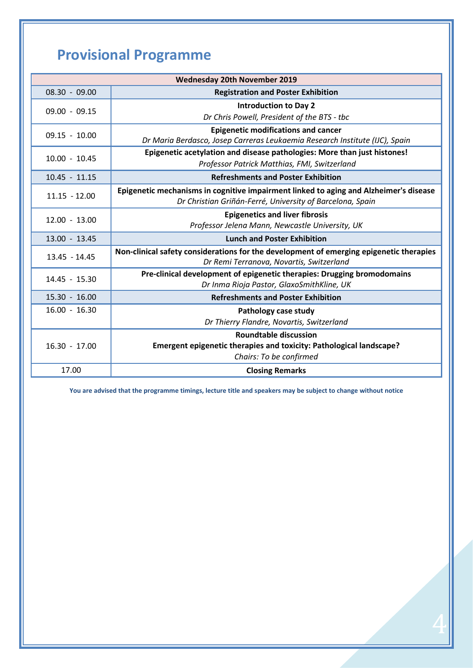# **Provisional Programme**

| <b>Wednesday 20th November 2019</b> |                                                                                         |  |  |  |
|-------------------------------------|-----------------------------------------------------------------------------------------|--|--|--|
| $08.30 - 09.00$                     | <b>Registration and Poster Exhibition</b>                                               |  |  |  |
| $09.00 - 09.15$                     | <b>Introduction to Day 2</b>                                                            |  |  |  |
|                                     | Dr Chris Powell, President of the BTS - tbc                                             |  |  |  |
| $09.15 - 10.00$                     | <b>Epigenetic modifications and cancer</b>                                              |  |  |  |
|                                     | Dr Maria Berdasco, Josep Carreras Leukaemia Research Institute (IJC), Spain             |  |  |  |
| $10.00 - 10.45$                     | Epigenetic acetylation and disease pathologies: More than just histones!                |  |  |  |
|                                     | Professor Patrick Matthias, FMI, Switzerland                                            |  |  |  |
| $10.45 - 11.15$                     | <b>Refreshments and Poster Exhibition</b>                                               |  |  |  |
| $11.15 - 12.00$                     | Epigenetic mechanisms in cognitive impairment linked to aging and Alzheimer's disease   |  |  |  |
|                                     | Dr Christian Griñán-Ferré, University of Barcelona, Spain                               |  |  |  |
| $12.00 - 13.00$                     | <b>Epigenetics and liver fibrosis</b>                                                   |  |  |  |
|                                     | Professor Jelena Mann, Newcastle University, UK                                         |  |  |  |
| 13.00 - 13.45                       | <b>Lunch and Poster Exhibition</b>                                                      |  |  |  |
| $13.45 - 14.45$                     | Non-clinical safety considerations for the development of emerging epigenetic therapies |  |  |  |
|                                     | Dr Remi Terranova, Novartis, Switzerland                                                |  |  |  |
| 14.45 - 15.30                       | Pre-clinical development of epigenetic therapies: Drugging bromodomains                 |  |  |  |
|                                     | Dr Inma Rioja Pastor, GlaxoSmithKline, UK                                               |  |  |  |
| $15.30 - 16.00$                     | <b>Refreshments and Poster Exhibition</b>                                               |  |  |  |
| $16.00 - 16.30$                     | Pathology case study                                                                    |  |  |  |
|                                     | Dr Thierry Flandre, Novartis, Switzerland                                               |  |  |  |
| $16.30 - 17.00$                     | <b>Roundtable discussion</b>                                                            |  |  |  |
|                                     | Emergent epigenetic therapies and toxicity: Pathological landscape?                     |  |  |  |
|                                     | Chairs: To be confirmed                                                                 |  |  |  |
| 17.00                               | <b>Closing Remarks</b>                                                                  |  |  |  |

**You are advised that the programme timings, lecture title and speakers may be subject to change without notice**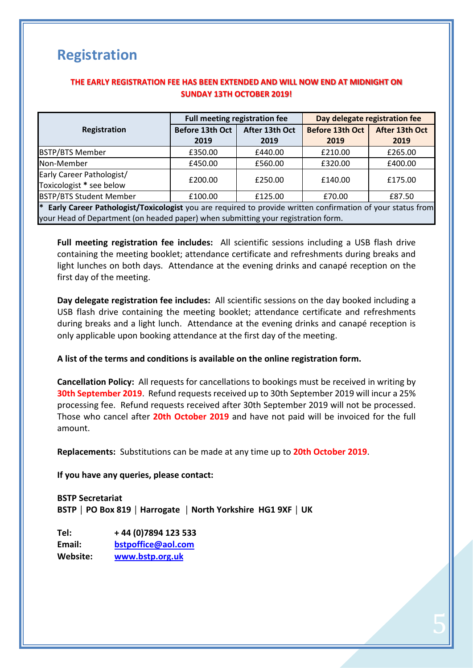# **Registration**

### **THE EARLY REGISTRATION FEE HAS BEEN EXTENDED AND WILL NOW END AT MIDNIGHT ON SUNDAY 13TH OCTOBER 2019!**

|                                                                                                                                                                                                              | <b>Full meeting registration fee</b> |                        | Day delegate registration fee  |                        |  |  |  |
|--------------------------------------------------------------------------------------------------------------------------------------------------------------------------------------------------------------|--------------------------------------|------------------------|--------------------------------|------------------------|--|--|--|
| Registration                                                                                                                                                                                                 | Before 13th Oct<br>2019              | After 13th Oct<br>2019 | <b>Before 13th Oct</b><br>2019 | After 13th Oct<br>2019 |  |  |  |
| <b>BSTP/BTS Member</b>                                                                                                                                                                                       | £350.00                              | £440.00                | £210.00                        | £265.00                |  |  |  |
| Non-Member                                                                                                                                                                                                   | £450.00                              | £560.00                | £320.00                        | £400.00                |  |  |  |
| Early Career Pathologist/<br>Toxicologist * see below                                                                                                                                                        | £200.00                              | £250.00                | £140.00                        | £175.00                |  |  |  |
| <b>BSTP/BTS Student Member</b>                                                                                                                                                                               | £100.00                              | £125.00                | £70.00                         | £87.50                 |  |  |  |
| <sup>*</sup> Early Career Pathologist/Toxicologist you are required to provide written confirmation of your status from<br>your Head of Department (on headed paper) when submitting your registration form. |                                      |                        |                                |                        |  |  |  |

**Full meeting registration fee includes:** All scientific sessions including a USB flash drive containing the meeting booklet; attendance certificate and refreshments during breaks and light lunches on both days. Attendance at the evening drinks and canapé reception on the first day of the meeting.

**Day delegate registration fee includes:** All scientific sessions on the day booked including a USB flash drive containing the meeting booklet; attendance certificate and refreshments during breaks and a light lunch. Attendance at the evening drinks and canapé reception is only applicable upon booking attendance at the first day of the meeting.

**A list of the terms and conditions is available on the online registration form.**

**Cancellation Policy:** All requests for cancellations to bookings must be received in writing by **30th September 2019**. Refund requests received up to 30th September 2019 will incur a 25% processing fee. Refund requests received after 30th September 2019 will not be processed. Those who cancel after **20th October 2019** and have not paid will be invoiced for the full amount.

5

**Replacements:** Substitutions can be made at any time up to **20th October 2019**.

**If you have any queries, please contact:** 

**BSTP Secretariat BSTP │ PO Box 819 │ Harrogate │ North Yorkshire HG1 9XF │ UK**

**Tel: + 44 (0)7894 123 533 Email: [bstpoffice@aol.com](mailto:bstopffice@aol.com) Website: [www.bstp.org.uk](http://www.bstp.org.uk/)**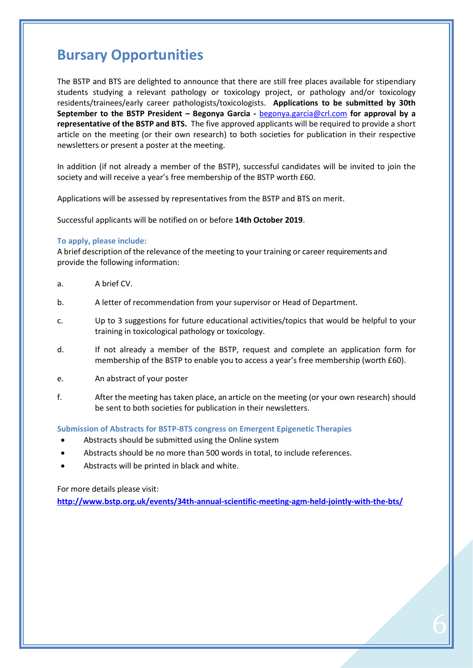## **Bursary Opportunities**

The BSTP and BTS are delighted to announce that there are still free places available for stipendiary students studying a relevant pathology or toxicology project, or pathology and/or toxicology residents/trainees/early career pathologists/toxicologists. **Applications to be submitted by 30th September to the BSTP President – Begonya Garcia -** [begonya.garcia@crl.com](mailto:begonya.garcia@crl.com) **for approval by a representative of the BSTP and BTS.** The five approved applicants will be required to provide a short article on the meeting (or their own research) to both societies for publication in their respective newsletters or present a poster at the meeting.

In addition (if not already a member of the BSTP), successful candidates will be invited to join the society and will receive a year's free membership of the BSTP worth £60.

Applications will be assessed by representatives from the BSTP and BTS on merit.

Successful applicants will be notified on or before **14th October 2019**.

### **To apply, please include:**

A brief description of the relevance of the meeting to your training or career requirements and provide the following information:

- a. A brief CV.
- b. A letter of recommendation from your supervisor or Head of Department.
- c. Up to 3 suggestions for future educational activities/topics that would be helpful to your training in toxicological pathology or toxicology.
- d. If not already a member of the BSTP, request and complete an application form for membership of the BSTP to enable you to access a year's free membership (worth £60).
- e. An abstract of your poster
- f. After the meeting has taken place, an article on the meeting (or your own research) should be sent to both societies for publication in their newsletters.

**Submission of Abstracts for BSTP-BTS congress on Emergent Epigenetic Therapies**

- Abstracts should be submitted using the Online system
- Abstracts should be no more than 500 words in total, to include references.
- Abstracts will be printed in black and white.

For more details please visit:

**<http://www.bstp.org.uk/events/34th-annual-scientific-meeting-agm-held-jointly-with-the-bts/>**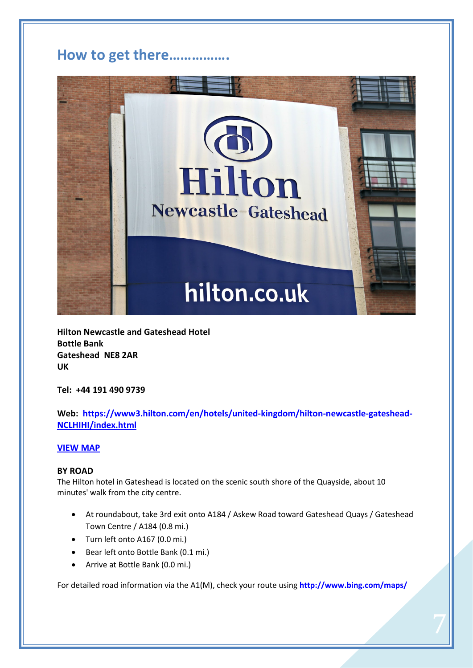### **How to get there…………….**



**Hilton Newcastle and Gateshead Hotel Bottle Bank Gateshead NE8 2AR UK**

**Tel: +44 191 490 9739**

### **Web: [https://www3.hilton.com/en/hotels/united-kingdom/hilton-newcastle-gateshead-](https://www3.hilton.com/en/hotels/united-kingdom/hilton-newcastle-gateshead-NCLHIHI/index.html)[NCLHIHI/index.html](https://www3.hilton.com/en/hotels/united-kingdom/hilton-newcastle-gateshead-NCLHIHI/index.html)**

### **[VIEW MAP](https://www.google.com/maps/place/54%C2%B057)**

### **BY ROAD**

The Hilton hotel in Gateshead is located on the scenic south shore of the Quayside, about 10 minutes' walk from the city centre.

- At roundabout, take 3rd exit onto A184 / Askew Road toward Gateshead Quays / Gateshead Town Centre / A184 (0.8 mi.)
- Turn left onto A167 (0.0 mi.)
- Bear left onto Bottle Bank (0.1 mi.)
- Arrive at Bottle Bank (0.0 mi.)

For detailed road information via the A1(M), check your route using **<http://www.bing.com/maps/>**

 $\frac{1}{2}$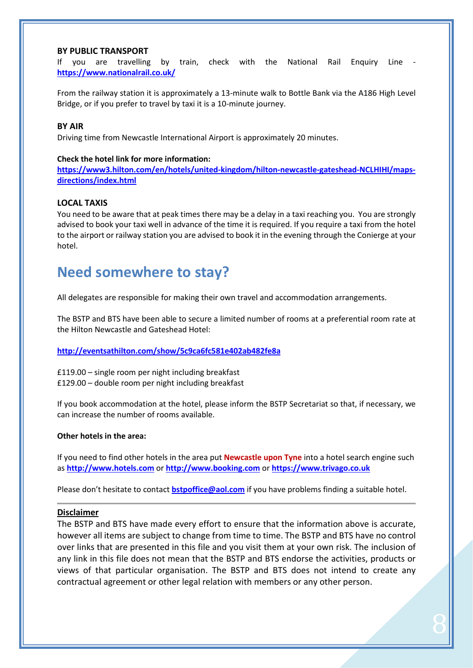### **BY PUBLIC TRANSPORT**

If you are travelling by train, check with the National Rail Enquiry Line **<https://www.nationalrail.co.uk/>**

From the railway station it is approximately a 13-minute walk to Bottle Bank via the A186 High Level Bridge, or if you prefer to travel by taxi it is a 10-minute journey.

### **BY AIR**

Driving time from Newcastle International Airport is approximately 20 minutes.

### **Check the hotel link for more information:**

**[https://www3.hilton.com/en/hotels/united-kingdom/hilton-newcastle-gateshead-NCLHIHI/maps](https://www3.hilton.com/en/hotels/united-kingdom/hilton-newcastle-gateshead-NCLHIHI/maps-directions/index.html)[directions/index.html](https://www3.hilton.com/en/hotels/united-kingdom/hilton-newcastle-gateshead-NCLHIHI/maps-directions/index.html)**

### **LOCAL TAXIS**

You need to be aware that at peak times there may be a delay in a taxi reaching you. You are strongly advised to book your taxi well in advance of the time it is required. If you require a taxi from the hotel to the airport or railway station you are advised to book it in the evening through the Conierge at your hotel.

### **Need somewhere to stay?**

All delegates are responsible for making their own travel and accommodation arrangements.

The BSTP and BTS have been able to secure a limited number of rooms at a preferential room rate at the Hilton Newcastle and Gateshead Hotel:

### **<http://eventsathilton.com/show/5c9ca6fc581e402ab482fe8a>**

£119.00 – single room per night including breakfast £129.00 – double room per night including breakfast

If you book accommodation at the hotel, please inform the BSTP Secretariat so that, if necessary, we can increase the number of rooms available.

#### **Other hotels in the area:**

If you need to find other hotels in the area put **Newcastle upon Tyne** into a hotel search engine such as **[http://www.hotels.com](http://www.hotels.com/)** or **[http://www.booking.com](http://www.booking.com/)** or **[https://www.trivago.co.uk](https://www.trivago.co.uk/)**

Please don't hesitate to contact **[bstpoffice@aol.com](mailto:bstpoffice@aol.com)** if you have problems finding a suitable hotel.

#### **Disclaimer**

The BSTP and BTS have made every effort to ensure that the information above is accurate, however all items are subject to change from time to time. The BSTP and BTS have no control over links that are presented in this file and you visit them at your own risk. The inclusion of any link in this file does not mean that the BSTP and BTS endorse the activities, products or views of that particular organisation. The BSTP and BTS does not intend to create any contractual agreement or other legal relation with members or any other person.